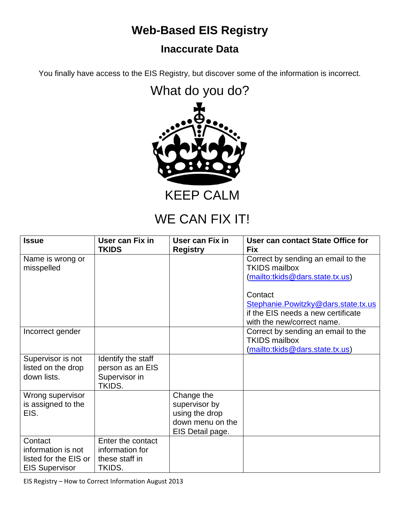## **Web-Based EIS Registry**

## **Inaccurate Data**

You finally have access to the EIS Registry, but discover some of the information is incorrect.

What do you do?



KEEP CALM

## WE CAN FIX IT!

| <b>Issue</b>                                                                    | User can Fix in<br><b>TKIDS</b>                                   | User can Fix in                                                                       | User can contact State Office for<br><b>Fix</b>                                                                    |
|---------------------------------------------------------------------------------|-------------------------------------------------------------------|---------------------------------------------------------------------------------------|--------------------------------------------------------------------------------------------------------------------|
| Name is wrong or<br>misspelled                                                  |                                                                   | <b>Registry</b>                                                                       | Correct by sending an email to the<br><b>TKIDS mailbox</b><br>(mailto:tkids@dars.state.tx.us)                      |
|                                                                                 |                                                                   |                                                                                       | Contact<br>Stephanie.Powitzky@dars.state.tx.us<br>if the EIS needs a new certificate<br>with the new/correct name. |
| Incorrect gender                                                                |                                                                   |                                                                                       | Correct by sending an email to the<br><b>TKIDS mailbox</b><br>(mailto:tkids@dars.state.tx.us)                      |
| Supervisor is not<br>listed on the drop<br>down lists.                          | Identify the staff<br>person as an EIS<br>Supervisor in<br>TKIDS. |                                                                                       |                                                                                                                    |
| Wrong supervisor<br>is assigned to the<br>EIS.                                  |                                                                   | Change the<br>supervisor by<br>using the drop<br>down menu on the<br>EIS Detail page. |                                                                                                                    |
| Contact<br>information is not<br>listed for the EIS or<br><b>EIS Supervisor</b> | Enter the contact<br>information for<br>these staff in<br>TKIDS.  |                                                                                       |                                                                                                                    |

EIS Registry – How to Correct Information August 2013